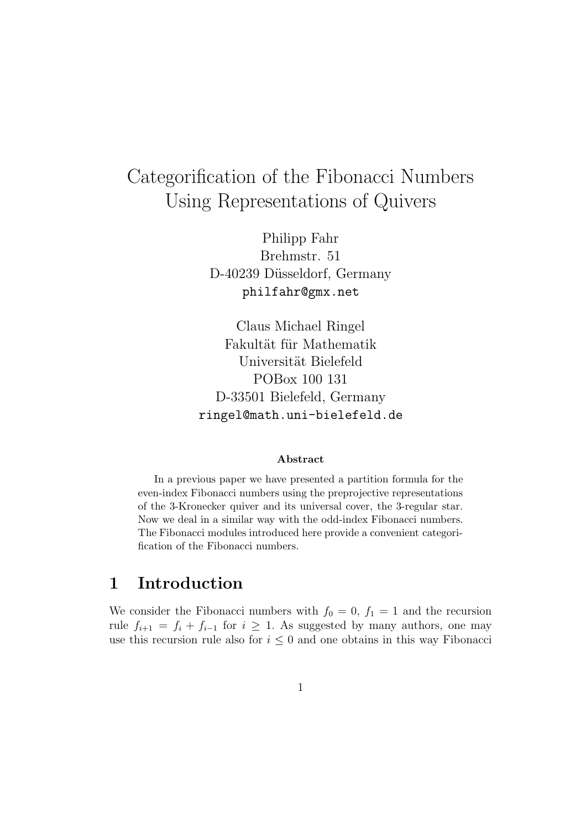# Categorification of the Fibonacci Numbers Using Representations of Quivers

Philipp Fahr Brehmstr. 51 D-40239 Düsseldorf, Germany philfahr@gmx.net

Claus Michael Ringel Fakultät für Mathematik Universität Bielefeld POBox 100 131 D-33501 Bielefeld, Germany ringel@math.uni-bielefeld.de

#### Abstract

In a previous paper we have presented a partition formula for the even-index Fibonacci numbers using the preprojective representations of the 3-Kronecker quiver and its universal cover, the 3-regular star. Now we deal in a similar way with the odd-index Fibonacci numbers. The Fibonacci modules introduced here provide a convenient categorification of the Fibonacci numbers.

### 1 Introduction

We consider the Fibonacci numbers with  $f_0 = 0$ ,  $f_1 = 1$  and the recursion rule  $f_{i+1} = f_i + f_{i-1}$  for  $i \geq 1$ . As suggested by many authors, one may use this recursion rule also for  $i \leq 0$  and one obtains in this way Fibonacci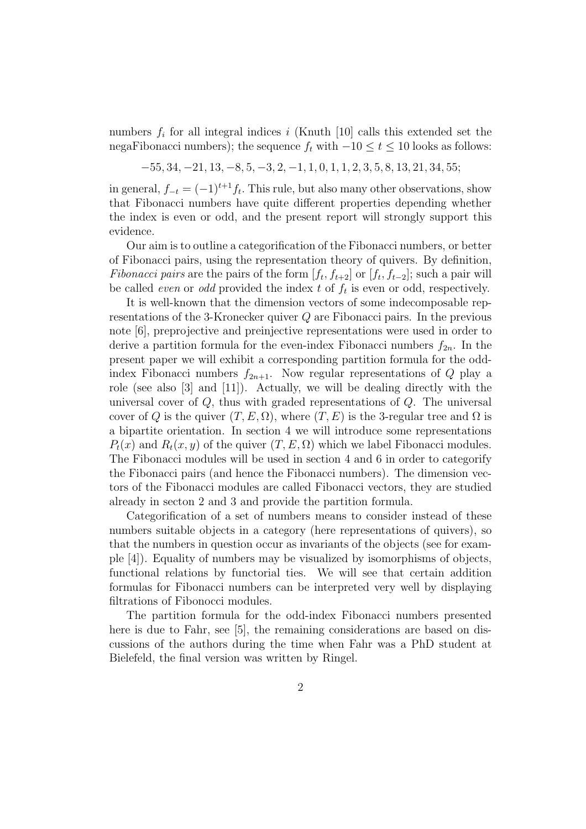numbers  $f_i$  for all integral indices i (Knuth [10] calls this extended set the negaFibonacci numbers); the sequence  $f_t$  with  $-10 \le t \le 10$  looks as follows:

$$
-55, 34, -21, 13, -8, 5, -3, 2, -1, 1, 0, 1, 1, 2, 3, 5, 8, 13, 21, 34, 55;
$$

in general,  $f_{-t} = (-1)^{t+1} f_t$ . This rule, but also many other observations, show that Fibonacci numbers have quite different properties depending whether the index is even or odd, and the present report will strongly support this evidence.

Our aim is to outline a categorification of the Fibonacci numbers, or better of Fibonacci pairs, using the representation theory of quivers. By definition, *Fibonacci pairs* are the pairs of the form  $[f_t, f_{t+2}]$  or  $[f_t, f_{t-2}]$ ; such a pair will be called *even* or *odd* provided the index  $t$  of  $f_t$  is even or odd, respectively.

It is well-known that the dimension vectors of some indecomposable representations of the 3-Kronecker quiver Q are Fibonacci pairs. In the previous note [6], preprojective and preinjective representations were used in order to derive a partition formula for the even-index Fibonacci numbers  $f_{2n}$ . In the present paper we will exhibit a corresponding partition formula for the oddindex Fibonacci numbers  $f_{2n+1}$ . Now regular representations of Q play a role (see also [3] and [11]). Actually, we will be dealing directly with the universal cover of  $Q$ , thus with graded representations of  $Q$ . The universal cover of Q is the quiver  $(T, E, \Omega)$ , where  $(T, E)$  is the 3-regular tree and  $\Omega$  is a bipartite orientation. In section 4 we will introduce some representations  $P_t(x)$  and  $R_t(x, y)$  of the quiver  $(T, E, \Omega)$  which we label Fibonacci modules. The Fibonacci modules will be used in section 4 and 6 in order to categorify the Fibonacci pairs (and hence the Fibonacci numbers). The dimension vectors of the Fibonacci modules are called Fibonacci vectors, they are studied already in secton 2 and 3 and provide the partition formula.

Categorification of a set of numbers means to consider instead of these numbers suitable objects in a category (here representations of quivers), so that the numbers in question occur as invariants of the objects (see for example [4]). Equality of numbers may be visualized by isomorphisms of objects, functional relations by functorial ties. We will see that certain addition formulas for Fibonacci numbers can be interpreted very well by displaying filtrations of Fibonocci modules.

The partition formula for the odd-index Fibonacci numbers presented here is due to Fahr, see [5], the remaining considerations are based on discussions of the authors during the time when Fahr was a PhD student at Bielefeld, the final version was written by Ringel.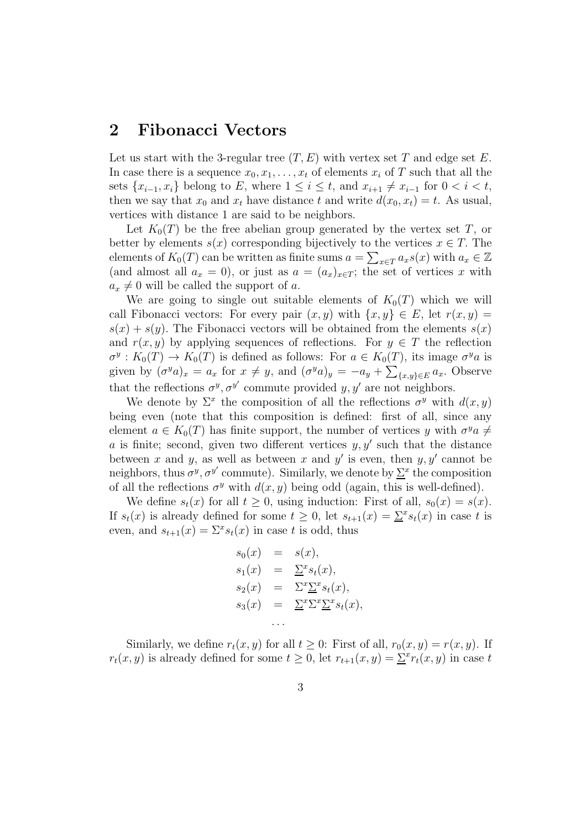#### 2 Fibonacci Vectors

Let us start with the 3-regular tree  $(T, E)$  with vertex set T and edge set E. In case there is a sequence  $x_0, x_1, \ldots, x_t$  of elements  $x_i$  of T such that all the sets  $\{x_{i-1}, x_i\}$  belong to E, where  $1 \leq i \leq t$ , and  $x_{i+1} \neq x_{i-1}$  for  $0 < i < t$ , then we say that  $x_0$  and  $x_t$  have distance t and write  $d(x_0, x_t) = t$ . As usual, vertices with distance 1 are said to be neighbors.

Let  $K_0(T)$  be the free abelian group generated by the vertex set T, or better by elements  $s(x)$  corresponding bijectively to the vertices  $x \in T$ . The elements of  $K_0(T)$  can be written as finite sums  $a = \sum_{x \in T} a_x s(x)$  with  $a_x \in \mathbb{Z}$ (and almost all  $a_x = 0$ ), or just as  $a = (a_x)_{x \in T}$ ; the set of vertices x with  $a_x \neq 0$  will be called the support of a.

We are going to single out suitable elements of  $K_0(T)$  which we will call Fibonacci vectors: For every pair  $(x, y)$  with  $\{x, y\} \in E$ , let  $r(x, y) =$  $s(x) + s(y)$ . The Fibonacci vectors will be obtained from the elements  $s(x)$ and  $r(x, y)$  by applying sequences of reflections. For  $y \in T$  the reflection  $\sigma^y: K_0(T) \to K_0(T)$  is defined as follows: For  $a \in K_0(T)$ , its image  $\sigma^y a$  is given by  $(\sigma^y a)_x = a_x$  for  $x \neq y$ , and  $(\sigma^y a)_y = -a_y + \sum_{\{x,y\} \in E} a_x$ . Observe that the reflections  $\sigma^y$ ,  $\sigma^{y'}$  commute provided y, y' are not neighbors.

We denote by  $\Sigma^x$  the composition of all the reflections  $\sigma^y$  with  $d(x, y)$ being even (note that this composition is defined: first of all, since any element  $a \in K_0(T)$  has finite support, the number of vertices y with  $\sigma^y a \neq$ a is finite; second, given two different vertices  $y, y'$  such that the distance between x and y, as well as between x and y' is even, then  $y, y'$  cannot be neighbors, thus  $\sigma^y$ ,  $\sigma^{y'}$  commute). Similarly, we denote by  $\Sigma^x$  the composition of all the reflections  $\sigma^y$  with  $d(x, y)$  being odd (again, this is well-defined).

We define  $s_t(x)$  for all  $t \geq 0$ , using induction: First of all,  $s_0(x) = s(x)$ . If  $s_t(x)$  is already defined for some  $t \geq 0$ , let  $s_{t+1}(x) = \sum s_i(x)$  in case t is even, and  $s_{t+1}(x) = \sum^x s_t(x)$  in case t is odd, thus

$$
s_0(x) = s(x),
$$
  
\n
$$
s_1(x) = \underline{\Sigma}^x s_t(x),
$$
  
\n
$$
s_2(x) = \Sigma^x \underline{\Sigma}^x s_t(x),
$$
  
\n
$$
s_3(x) = \underline{\Sigma}^x \Sigma^x \underline{\Sigma}^x s_t(x),
$$
  
\n...

Similarly, we define  $r_t(x, y)$  for all  $t \geq 0$ : First of all,  $r_0(x, y) = r(x, y)$ . If  $r_t(x, y)$  is already defined for some  $t \geq 0$ , let  $r_{t+1}(x, y) = \underline{\Sigma}^x r_t(x, y)$  in case t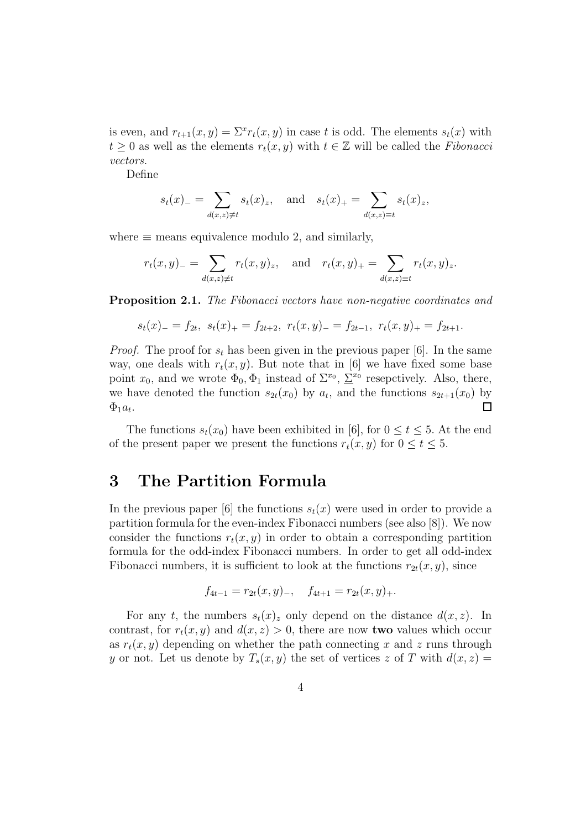is even, and  $r_{t+1}(x, y) = \sum^{x} r_t(x, y)$  in case t is odd. The elements  $s_t(x)$  with  $t > 0$  as well as the elements  $r_t(x, y)$  with  $t \in \mathbb{Z}$  will be called the Fibonacci vectors.

Define

$$
s_t(x)_- = \sum_{d(x,z)\neq t} s_t(x)_z
$$
, and  $s_t(x)_+ = \sum_{d(x,z)\equiv t} s_t(x)_z$ ,

where  $\equiv$  means equivalence modulo 2, and similarly,

$$
r_t(x, y) = \sum_{d(x, z) \neq t} r_t(x, y)_z
$$
, and  $r_t(x, y) = \sum_{d(x, z) \equiv t} r_t(x, y)_z$ .

Proposition 2.1. The Fibonacci vectors have non-negative coordinates and

$$
s_t(x) = f_{2t}, \ s_t(x) = f_{2t+2}, \ r_t(x,y) = f_{2t-1}, \ r_t(x,y) = f_{2t+1}.
$$

*Proof.* The proof for  $s_t$  has been given in the previous paper [6]. In the same way, one deals with  $r_t(x, y)$ . But note that in [6] we have fixed some base point  $x_0$ , and we wrote  $\Phi_0$ ,  $\Phi_1$  instead of  $\Sigma^{x_0}$ ,  $\Sigma^{x_0}$  resepctively. Also, there, we have denoted the function  $s_{2t}(x_0)$  by  $a_t$ , and the functions  $s_{2t+1}(x_0)$  by  $\Box$  $\Phi_1 a_t$ .

The functions  $s_t(x_0)$  have been exhibited in [6], for  $0 \le t \le 5$ . At the end of the present paper we present the functions  $r_t(x, y)$  for  $0 \le t \le 5$ .

#### 3 The Partition Formula

In the previous paper [6] the functions  $s_t(x)$  were used in order to provide a partition formula for the even-index Fibonacci numbers (see also [8]). We now consider the functions  $r_t(x, y)$  in order to obtain a corresponding partition formula for the odd-index Fibonacci numbers. In order to get all odd-index Fibonacci numbers, it is sufficient to look at the functions  $r_{2t}(x, y)$ , since

$$
f_{4t-1} = r_{2t}(x, y)_{-}, \quad f_{4t+1} = r_{2t}(x, y)_{+}.
$$

For any t, the numbers  $s_t(x)$  only depend on the distance  $d(x, z)$ . In contrast, for  $r_t(x, y)$  and  $d(x, z) > 0$ , there are now **two** values which occur as  $r_t(x, y)$  depending on whether the path connecting x and z runs through y or not. Let us denote by  $T_s(x, y)$  the set of vertices z of T with  $d(x, z) =$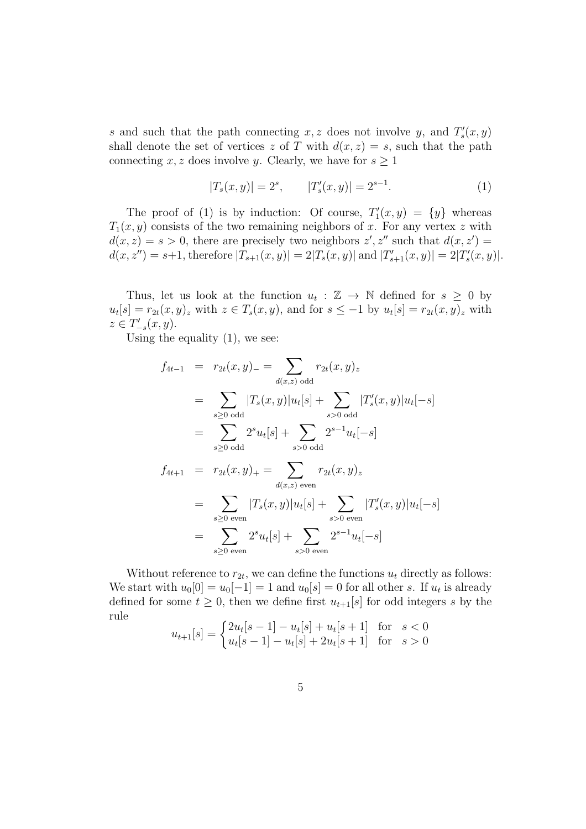s and such that the path connecting  $x, z$  does not involve y, and  $T'_{s}(x, y)$ shall denote the set of vertices z of T with  $d(x, z) = s$ , such that the path connecting x, z does involve y. Clearly, we have for  $s \geq 1$ 

$$
|T_s(x,y)| = 2^s, \qquad |T'_s(x,y)| = 2^{s-1}.
$$
 (1)

The proof of (1) is by induction: Of course,  $T'_1(x,y) = \{y\}$  whereas  $T_1(x, y)$  consists of the two remaining neighbors of x. For any vertex z with  $d(x, z) = s > 0$ , there are precisely two neighbors  $z', z''$  such that  $d(x, z') =$  $d(x, z'') = s+1$ , therefore  $|T_{s+1}(x, y)| = 2|T_s(x, y)|$  and  $|T'_{s+1}(x, y)| = 2|T'_{s}(x, y)|$ .

Thus, let us look at the function  $u_t : \mathbb{Z} \to \mathbb{N}$  defined for  $s \geq 0$  by  $u_t[s] = r_{2t}(x, y)_z$  with  $z \in T_s(x, y)$ , and for  $s \leq -1$  by  $u_t[s] = r_{2t}(x, y)_z$  with  $z \in T'_{-s}(x, y).$ 

Using the equality  $(1)$ , we see:

$$
f_{4t-1} = r_{2t}(x, y) = \sum_{d(x, z) \text{ odd}} r_{2t}(x, y)_{z}
$$
  
\n
$$
= \sum_{s \geq 0 \text{ odd}} |T_s(x, y)|u_t[s] + \sum_{s > 0 \text{ odd}} |T'_s(x, y)|u_t[-s]
$$
  
\n
$$
= \sum_{s \geq 0 \text{ odd}} 2^s u_t[s] + \sum_{s > 0 \text{ odd}} 2^{s-1} u_t[-s]
$$
  
\n
$$
f_{4t+1} = r_{2t}(x, y)_{+} = \sum_{d(x, z) \text{ even}} r_{2t}(x, y)_{z}
$$
  
\n
$$
= \sum_{s \geq 0 \text{ even}} |T_s(x, y)|u_t[s] + \sum_{s > 0 \text{ even}} |T'_s(x, y)|u_t[-s]
$$
  
\n
$$
= \sum_{s \geq 0 \text{ even}} 2^s u_t[s] + \sum_{s > 0 \text{ even}} 2^{s-1} u_t[-s]
$$

Without reference to  $r_{2t}$ , we can define the functions  $u_t$  directly as follows: We start with  $u_0[0] = u_0[-1] = 1$  and  $u_0[s] = 0$  for all other s. If  $u_t$  is already defined for some  $t \geq 0$ , then we define first  $u_{t+1}[s]$  for odd integers s by the rule

$$
u_{t+1}[s] = \begin{cases} 2u_t[s-1] - u_t[s] + u_t[s+1] & \text{for } s < 0\\ u_t[s-1] - u_t[s] + 2u_t[s+1] & \text{for } s > 0 \end{cases}
$$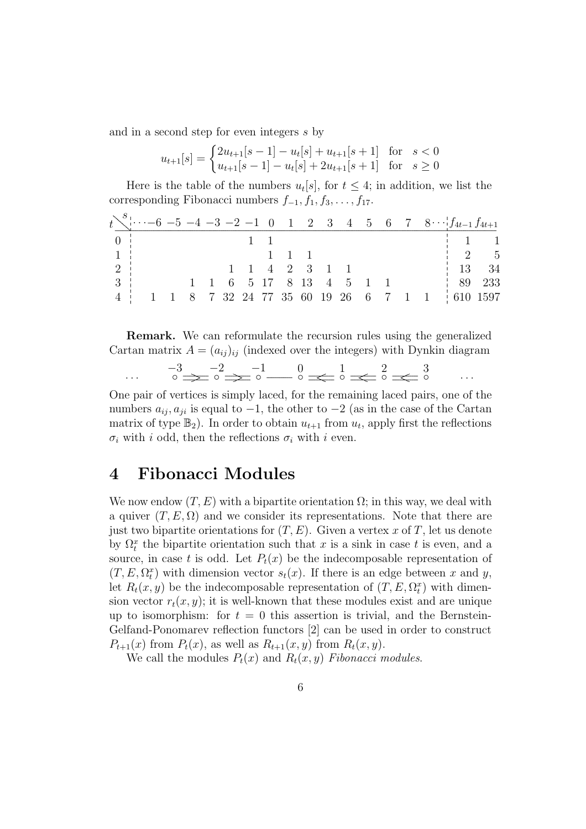and in a second step for even integers s by

$$
u_{t+1}[s] = \begin{cases} 2u_{t+1}[s-1] - u_t[s] + u_{t+1}[s+1] & \text{for } s < 0\\ u_{t+1}[s-1] - u_t[s] + 2u_{t+1}[s+1] & \text{for } s \ge 0 \end{cases}
$$

Here is the table of the numbers  $u_t[s]$ , for  $t \leq 4$ ; in addition, we list the corresponding Fibonacci numbers  $f_{-1}, f_1, f_3, \ldots, f_{17}$ .

|                                         | $t\searrow 6$ -5 -4 -3 -2 -1 0 1 2 3 4 5 6 7 8 $f_{4t-1}f_{4t+1}$ |  |  |                     |  |                                                     |  |  |                                               |       |
|-----------------------------------------|-------------------------------------------------------------------|--|--|---------------------|--|-----------------------------------------------------|--|--|-----------------------------------------------|-------|
| 0 <sub>1</sub>                          |                                                                   |  |  |                     |  |                                                     |  |  |                                               |       |
| $\begin{array}{ccc} \hline \end{array}$ |                                                                   |  |  | $1 \quad 1 \quad 1$ |  |                                                     |  |  |                                               | 2 5   |
| $2^+$                                   |                                                                   |  |  |                     |  | $1 \quad 1 \quad 4 \quad 2 \quad 3 \quad 1 \quad 1$ |  |  |                                               | 13 34 |
| 3 <sup>1</sup>                          |                                                                   |  |  |                     |  | $1 \t1 \t6 \t5 \t17 \t8 \t13 \t4 \t5 \t1 \t1$       |  |  | 189233                                        |       |
| $4 \cdot$                               |                                                                   |  |  |                     |  |                                                     |  |  | 1 1 8 7 32 24 77 35 60 19 26 6 7 1 1 610 1597 |       |

Remark. We can reformulate the recursion rules using the generalized Cartan matrix  $A = (a_{ij})_{ij}$  (indexed over the integers) with Dynkin diagram

$$
\cdots \qquad \overline{\circ} \Rightarrow \overline{\circ} \Rightarrow \overline{\circ} \Rightarrow \overline{\circ} \xrightarrow{-1} \overline{\circ} \xrightarrow{0} \overline{\circ} \xleftarrow{1} \overline{\circ} \xleftarrow{2} \overline{\circ} \xleftarrow{3} \cdots
$$

One pair of vertices is simply laced, for the remaining laced pairs, one of the numbers  $a_{ij}, a_{ji}$  is equal to  $-1$ , the other to  $-2$  (as in the case of the Cartan matrix of type  $\mathbb{B}_2$ ). In order to obtain  $u_{t+1}$  from  $u_t$ , apply first the reflections  $\sigma_i$  with i odd, then the reflections  $\sigma_i$  with i even.

#### 4 Fibonacci Modules

We now endow  $(T, E)$  with a bipartite orientation  $\Omega$ ; in this way, we deal with a quiver  $(T, E, \Omega)$  and we consider its representations. Note that there are just two bipartite orientations for  $(T, E)$ . Given a vertex x of T, let us denote by  $\Omega_t^x$  the bipartite orientation such that x is a sink in case t is even, and a source, in case t is odd. Let  $P_t(x)$  be the indecomposable representation of  $(T, E, \Omega_t^x)$  with dimension vector  $s_t(x)$ . If there is an edge between x and y, let  $R_t(x, y)$  be the indecomposable representation of  $(T, E, \Omega_t^x)$  with dimension vector  $r_t(x, y)$ ; it is well-known that these modules exist and are unique up to isomorphism: for  $t = 0$  this assertion is trivial, and the Bernstein-Gelfand-Ponomarev reflection functors [2] can be used in order to construct  $P_{t+1}(x)$  from  $P_t(x)$ , as well as  $R_{t+1}(x, y)$  from  $R_t(x, y)$ .

We call the modules  $P_t(x)$  and  $R_t(x, y)$  Fibonacci modules.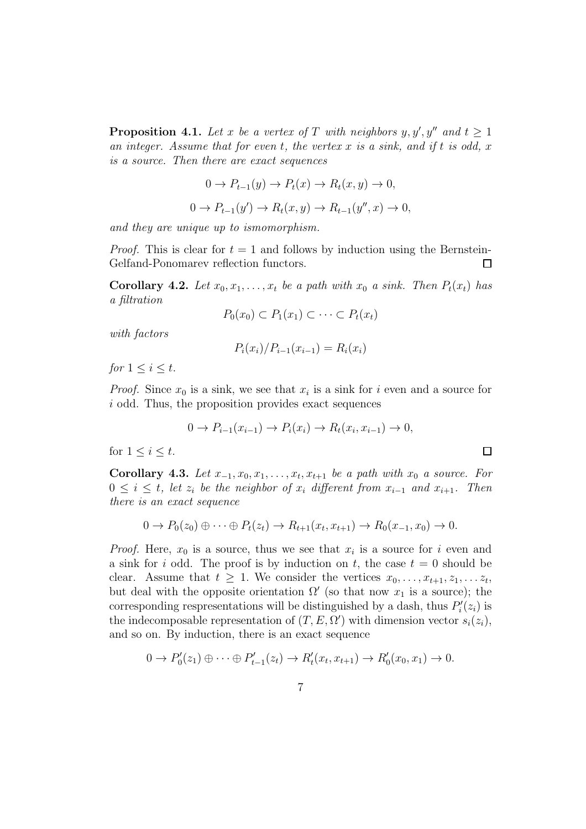**Proposition 4.1.** Let x be a vertex of T with neighbors  $y, y', y''$  and  $t \geq 1$ an integer. Assume that for even t, the vertex x is a sink, and if t is odd, x is a source. Then there are exact sequences

$$
0 \to P_{t-1}(y) \to P_t(x) \to R_t(x, y) \to 0,
$$
  

$$
0 \to P_{t-1}(y') \to R_t(x, y) \to R_{t-1}(y'', x) \to 0,
$$

and they are unique up to ismomorphism.

*Proof.* This is clear for  $t = 1$  and follows by induction using the Bernstein-Gelfand-Ponomarev reflection functors.  $\Box$ 

**Corollary 4.2.** Let  $x_0, x_1, \ldots, x_t$  be a path with  $x_0$  a sink. Then  $P_t(x_t)$  has a filtration

$$
P_0(x_0) \subset P_1(x_1) \subset \cdots \subset P_t(x_t)
$$

with factors

$$
P_i(x_i)/P_{i-1}(x_{i-1}) = R_i(x_i)
$$

for  $1 \leq i \leq t$ .

*Proof.* Since  $x_0$  is a sink, we see that  $x_i$  is a sink for i even and a source for i odd. Thus, the proposition provides exact sequences

$$
0 \to P_{i-1}(x_{i-1}) \to P_i(x_i) \to R_t(x_i, x_{i-1}) \to 0,
$$

 $\Box$ 

for  $1 \leq i \leq t$ .

Corollary 4.3. Let  $x_{-1}, x_0, x_1, \ldots, x_t, x_{t+1}$  be a path with  $x_0$  a source. For  $0 \leq i \leq t$ , let  $z_i$  be the neighbor of  $x_i$  different from  $x_{i-1}$  and  $x_{i+1}$ . Then there is an exact sequence

$$
0 \to P_0(z_0) \oplus \cdots \oplus P_t(z_t) \to R_{t+1}(x_t, x_{t+1}) \to R_0(x_{-1}, x_0) \to 0.
$$

*Proof.* Here,  $x_0$  is a source, thus we see that  $x_i$  is a source for i even and a sink for i odd. The proof is by induction on t, the case  $t = 0$  should be clear. Assume that  $t \geq 1$ . We consider the vertices  $x_0, \ldots, x_{t+1}, z_1, \ldots, z_t$ , but deal with the opposite orientation  $\Omega'$  (so that now  $x_1$  is a source); the corresponding respresentations will be distinguished by a dash, thus  $P'_i(z_i)$  is the indecomposable representation of  $(T, E, \Omega')$  with dimension vector  $s_i(z_i)$ , and so on. By induction, there is an exact sequence

$$
0 \to P'_0(z_1) \oplus \cdots \oplus P'_{t-1}(z_t) \to R'_t(x_t, x_{t+1}) \to R'_0(x_0, x_1) \to 0.
$$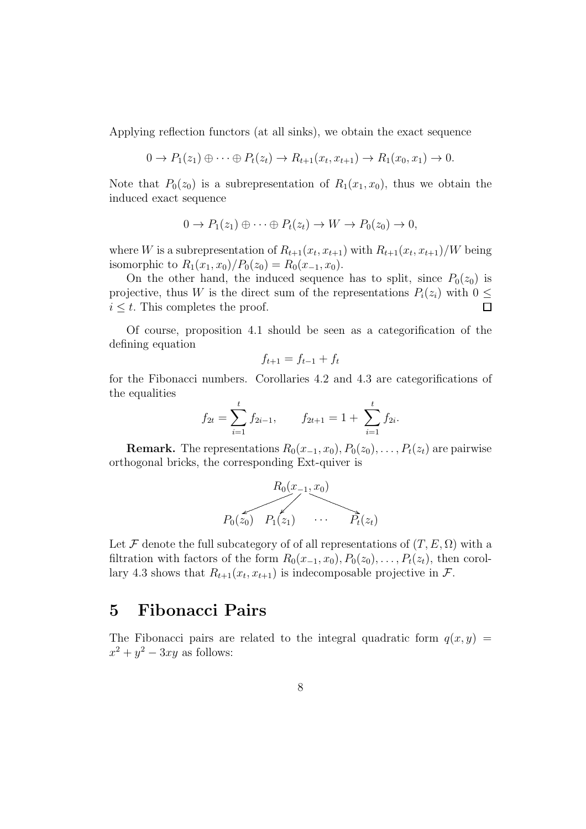Applying reflection functors (at all sinks), we obtain the exact sequence

$$
0 \to P_1(z_1) \oplus \cdots \oplus P_t(z_t) \to R_{t+1}(x_t, x_{t+1}) \to R_1(x_0, x_1) \to 0.
$$

Note that  $P_0(z_0)$  is a subrepresentation of  $R_1(x_1, x_0)$ , thus we obtain the induced exact sequence

$$
0 \to P_1(z_1) \oplus \cdots \oplus P_t(z_t) \to W \to P_0(z_0) \to 0,
$$

where W is a subrepresentation of  $R_{t+1}(x_t, x_{t+1})$  with  $R_{t+1}(x_t, x_{t+1})/W$  being isomorphic to  $R_1(x_1, x_0)/P_0(z_0) = R_0(x_{-1}, x_0)$ .

On the other hand, the induced sequence has to split, since  $P_0(z_0)$  is projective, thus W is the direct sum of the representations  $P_i(z_i)$  with  $0 \leq$  $i \leq t$ . This completes the proof.  $\Box$ 

Of course, proposition 4.1 should be seen as a categorification of the defining equation

$$
f_{t+1} = f_{t-1} + f_t
$$

for the Fibonacci numbers. Corollaries 4.2 and 4.3 are categorifications of the equalities

$$
f_{2t} = \sum_{i=1}^{t} f_{2i-1}, \qquad f_{2t+1} = 1 + \sum_{i=1}^{t} f_{2i}.
$$

**Remark.** The representations  $R_0(x_{-1}, x_0), P_0(z_0), \ldots, P_t(z_t)$  are pairwise orthogonal bricks, the corresponding Ext-quiver is

R0(x−1, x0) P0(z0) P1(z1) · · · Pt(zt) ....... ....... ....... ........ ....... ....... ....... ........ ....... ....... ....... ........ ....... ....... ....... ........ ....... ....... ....... . .. ............ .. .. .. .. .. .. .. .. .. .. .. .. .. .. .. ............ ................................................................................................................................... ............... ..

Let F denote the full subcategory of of all representations of  $(T, E, \Omega)$  with a filtration with factors of the form  $R_0(x_{-1}, x_0), P_0(z_0), \ldots, P_t(z_t)$ , then corollary 4.3 shows that  $R_{t+1}(x_t, x_{t+1})$  is indecomposable projective in  $\mathcal{F}$ .

#### 5 Fibonacci Pairs

The Fibonacci pairs are related to the integral quadratic form  $q(x, y)$  =  $x^2 + y^2 - 3xy$  as follows: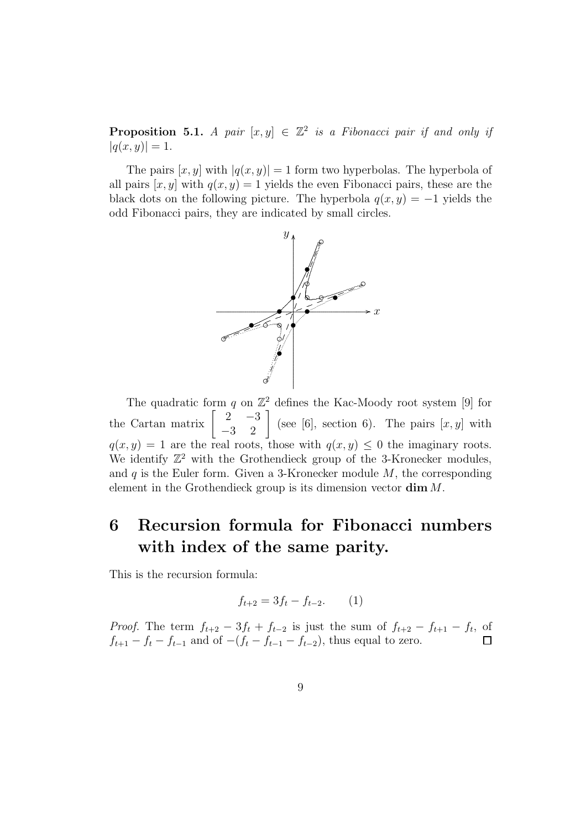**Proposition 5.1.** A pair  $[x, y] \in \mathbb{Z}^2$  is a Fibonacci pair if and only if  $|q(x, y)| = 1.$ 

The pairs  $[x, y]$  with  $|q(x, y)| = 1$  form two hyperbolas. The hyperbola of all pairs  $[x, y]$  with  $q(x, y) = 1$  yields the even Fibonacci pairs, these are the black dots on the following picture. The hyperbola  $q(x, y) = -1$  yields the odd Fibonacci pairs, they are indicated by small circles.



The quadratic form  $q$  on  $\mathbb{Z}^2$  defines the Kac-Moody root system [9] for the Cartan matrix  $\begin{bmatrix} 2 & -3 \\ -3 & 2 \end{bmatrix}$  (see [6], section 6). The pairs  $[x, y]$  with  $q(x, y) = 1$  are the real roots, those with  $q(x, y) \leq 0$  the imaginary roots. We identify  $\mathbb{Z}^2$  with the Grothendieck group of the 3-Kronecker modules, and  $q$  is the Euler form. Given a 3-Kronecker module  $M$ , the corresponding element in the Grothendieck group is its dimension vector dim M.

## 6 Recursion formula for Fibonacci numbers with index of the same parity.

This is the recursion formula:

$$
f_{t+2} = 3f_t - f_{t-2}.
$$
 (1)

*Proof.* The term  $f_{t+2} - 3f_t + f_{t-2}$  is just the sum of  $f_{t+2} - f_{t+1} - f_t$ , of  $f_{t+1} - f_t - f_{t-1}$  and of  $-(f_t - f_{t-1} - f_{t-2})$ , thus equal to zero.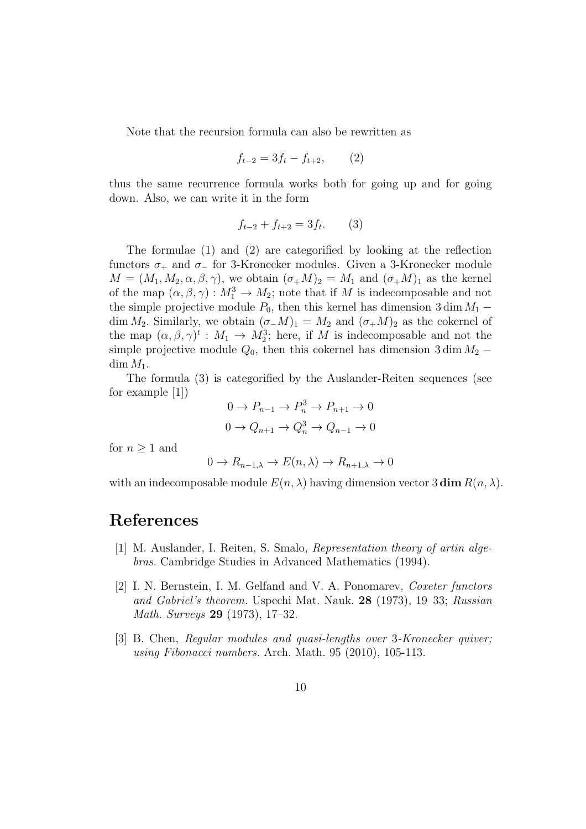Note that the recursion formula can also be rewritten as

$$
f_{t-2} = 3f_t - f_{t+2}, \qquad (2)
$$

thus the same recurrence formula works both for going up and for going down. Also, we can write it in the form

$$
f_{t-2} + f_{t+2} = 3f_t. \tag{3}
$$

The formulae (1) and (2) are categorified by looking at the reflection functors  $\sigma_+$  and  $\sigma_-$  for 3-Kronecker modules. Given a 3-Kronecker module  $M = (M_1, M_2, \alpha, \beta, \gamma)$ , we obtain  $(\sigma_+ M)_2 = M_1$  and  $(\sigma_+ M)_1$  as the kernel of the map  $(\alpha, \beta, \gamma) : M_1^3 \to M_2$ ; note that if M is indecomposable and not the simple projective module  $P_0$ , then this kernel has dimension 3 dim  $M_1$  – dim  $M_2$ . Similarly, we obtain  $(\sigma_-M)_1 = M_2$  and  $(\sigma_+M)_2$  as the cokernel of the map  $(\alpha, \beta, \gamma)^t : M_1 \to M_2^3$ ; here, if M is indecomposable and not the simple projective module  $Q_0$ , then this cokernel has dimension 3 dim  $M_2$  –  $\dim M_1$ .

The formula (3) is categorified by the Auslander-Reiten sequences (see for example [1])

$$
0 \to P_{n-1} \to P_n^3 \to P_{n+1} \to 0
$$
  

$$
0 \to Q_{n+1} \to Q_n^3 \to Q_{n-1} \to 0
$$

for  $n \geq 1$  and

$$
0 \to R_{n-1,\lambda} \to E(n,\lambda) \to R_{n+1,\lambda} \to 0
$$

with an indecomposable module  $E(n, \lambda)$  having dimension vector 3 dim  $R(n, \lambda)$ .

#### References

- [1] M. Auslander, I. Reiten, S. Smalo, Representation theory of artin algebras. Cambridge Studies in Advanced Mathematics (1994).
- [2] I. N. Bernstein, I. M. Gelfand and V. A. Ponomarev, Coxeter functors and Gabriel's theorem. Uspechi Mat. Nauk. 28 (1973), 19–33; Russian Math. Surveys 29 (1973), 17–32.
- [3] B. Chen, *Regular modules and quasi-lengths over 3-Kronecker quiver*; using Fibonacci numbers. Arch. Math. 95 (2010), 105-113.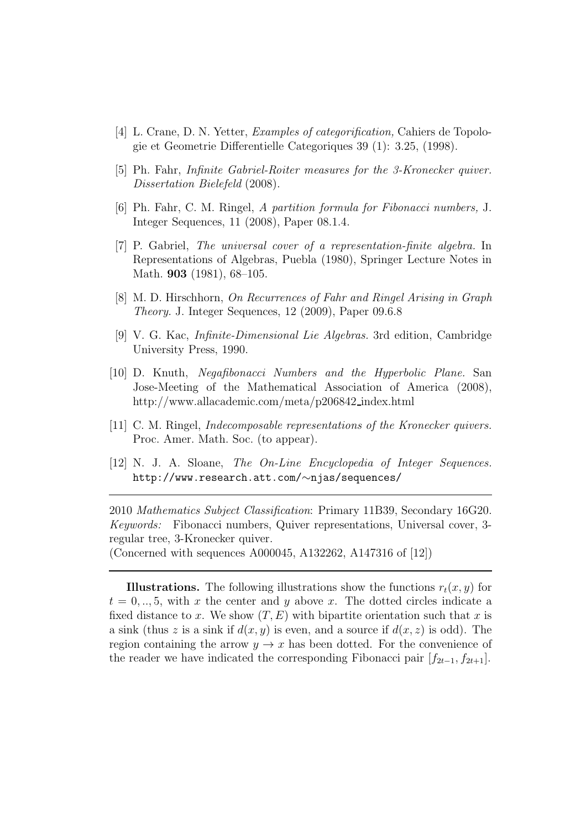- [4] L. Crane, D. N. Yetter, Examples of categorification, Cahiers de Topologie et Geometrie Differentielle Categoriques 39 (1): 3.25, (1998).
- [5] Ph. Fahr, Infinite Gabriel-Roiter measures for the 3-Kronecker quiver. Dissertation Bielefeld (2008).
- [6] Ph. Fahr, C. M. Ringel, A partition formula for Fibonacci numbers, J. Integer Sequences, 11 (2008), Paper 08.1.4.
- [7] P. Gabriel, The universal cover of a representation-finite algebra. In Representations of Algebras, Puebla (1980), Springer Lecture Notes in Math. **903** (1981), 68–105.
- [8] M. D. Hirschhorn, On Recurrences of Fahr and Ringel Arising in Graph Theory. J. Integer Sequences, 12 (2009), Paper 09.6.8
- [9] V. G. Kac, Infinite-Dimensional Lie Algebras. 3rd edition, Cambridge University Press, 1990.
- [10] D. Knuth, Negafibonacci Numbers and the Hyperbolic Plane. San Jose-Meeting of the Mathematical Association of America (2008), http://www.allacademic.com/meta/p206842 index.html
- [11] C. M. Ringel, Indecomposable representations of the Kronecker quivers. Proc. Amer. Math. Soc. (to appear).
- [12] N. J. A. Sloane, The On-Line Encyclopedia of Integer Sequences. http://www.research.att.com/∼njas/sequences/

2010 Mathematics Subject Classification: Primary 11B39, Secondary 16G20. Keywords: Fibonacci numbers, Quiver representations, Universal cover, 3 regular tree, 3-Kronecker quiver. (Concerned with sequences A000045, A132262, A147316 of [12])

**Illustrations.** The following illustrations show the functions  $r_t(x, y)$  for  $t = 0, \ldots, 5$ , with x the center and y above x. The dotted circles indicate a fixed distance to x. We show  $(T, E)$  with bipartite orientation such that x is a sink (thus z is a sink if  $d(x, y)$  is even, and a source if  $d(x, z)$  is odd). The

region containing the arrow  $y \to x$  has been dotted. For the convenience of the reader we have indicated the corresponding Fibonacci pair  $[f_{2t-1}, f_{2t+1}]$ .